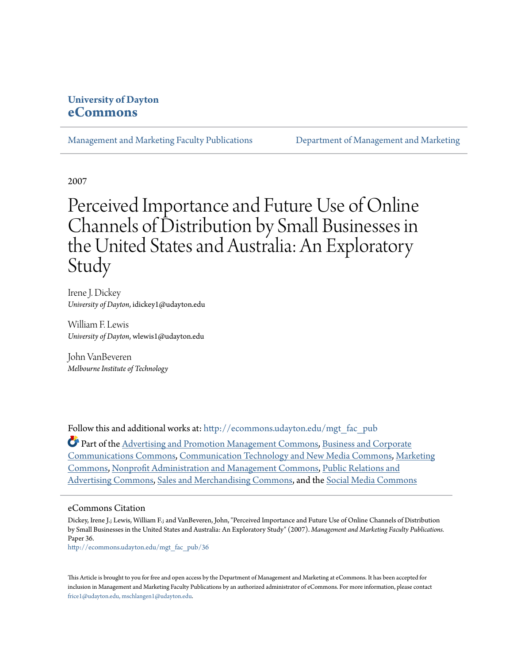# **University of Dayton [eCommons](http://ecommons.udayton.edu?utm_source=ecommons.udayton.edu%2Fmgt_fac_pub%2F36&utm_medium=PDF&utm_campaign=PDFCoverPages)**

[Management and Marketing Faculty Publications](http://ecommons.udayton.edu/mgt_fac_pub?utm_source=ecommons.udayton.edu%2Fmgt_fac_pub%2F36&utm_medium=PDF&utm_campaign=PDFCoverPages) [Department of Management and Marketing](http://ecommons.udayton.edu/mgt?utm_source=ecommons.udayton.edu%2Fmgt_fac_pub%2F36&utm_medium=PDF&utm_campaign=PDFCoverPages)

2007

# Perceived Importance and Future Use of Online Channels of Distribution by Small Businesses in the United States and Australia: An Exploratory Study

Irene J. Dickey *University of Dayton*, idickey1@udayton.edu

William F. Lewis *University of Dayton*, wlewis1@udayton.edu

John VanBeveren *Melbourne Institute of Technology*

Follow this and additional works at: [http://ecommons.udayton.edu/mgt\\_fac\\_pub](http://ecommons.udayton.edu/mgt_fac_pub?utm_source=ecommons.udayton.edu%2Fmgt_fac_pub%2F36&utm_medium=PDF&utm_campaign=PDFCoverPages)

Part of the [Advertising and Promotion Management Commons,](http://network.bepress.com/hgg/discipline/626?utm_source=ecommons.udayton.edu%2Fmgt_fac_pub%2F36&utm_medium=PDF&utm_campaign=PDFCoverPages) [Business and Corporate](http://network.bepress.com/hgg/discipline/627?utm_source=ecommons.udayton.edu%2Fmgt_fac_pub%2F36&utm_medium=PDF&utm_campaign=PDFCoverPages) [Communications Commons,](http://network.bepress.com/hgg/discipline/627?utm_source=ecommons.udayton.edu%2Fmgt_fac_pub%2F36&utm_medium=PDF&utm_campaign=PDFCoverPages) [Communication Technology and New Media Commons,](http://network.bepress.com/hgg/discipline/327?utm_source=ecommons.udayton.edu%2Fmgt_fac_pub%2F36&utm_medium=PDF&utm_campaign=PDFCoverPages) [Marketing](http://network.bepress.com/hgg/discipline/638?utm_source=ecommons.udayton.edu%2Fmgt_fac_pub%2F36&utm_medium=PDF&utm_campaign=PDFCoverPages) [Commons,](http://network.bepress.com/hgg/discipline/638?utm_source=ecommons.udayton.edu%2Fmgt_fac_pub%2F36&utm_medium=PDF&utm_campaign=PDFCoverPages) [Nonprofit Administration and Management Commons](http://network.bepress.com/hgg/discipline/1228?utm_source=ecommons.udayton.edu%2Fmgt_fac_pub%2F36&utm_medium=PDF&utm_campaign=PDFCoverPages), [Public Relations and](http://network.bepress.com/hgg/discipline/336?utm_source=ecommons.udayton.edu%2Fmgt_fac_pub%2F36&utm_medium=PDF&utm_campaign=PDFCoverPages) [Advertising Commons](http://network.bepress.com/hgg/discipline/336?utm_source=ecommons.udayton.edu%2Fmgt_fac_pub%2F36&utm_medium=PDF&utm_campaign=PDFCoverPages), [Sales and Merchandising Commons](http://network.bepress.com/hgg/discipline/646?utm_source=ecommons.udayton.edu%2Fmgt_fac_pub%2F36&utm_medium=PDF&utm_campaign=PDFCoverPages), and the [Social Media Commons](http://network.bepress.com/hgg/discipline/1249?utm_source=ecommons.udayton.edu%2Fmgt_fac_pub%2F36&utm_medium=PDF&utm_campaign=PDFCoverPages)

#### eCommons Citation

Dickey, Irene J.; Lewis, William F.; and VanBeveren, John, "Perceived Importance and Future Use of Online Channels of Distribution by Small Businesses in the United States and Australia: An Exploratory Study" (2007). *Management and Marketing Faculty Publications.* Paper 36.

[http://ecommons.udayton.edu/mgt\\_fac\\_pub/36](http://ecommons.udayton.edu/mgt_fac_pub/36?utm_source=ecommons.udayton.edu%2Fmgt_fac_pub%2F36&utm_medium=PDF&utm_campaign=PDFCoverPages)

This Article is brought to you for free and open access by the Department of Management and Marketing at eCommons. It has been accepted for inclusion in Management and Marketing Faculty Publications by an authorized administrator of eCommons. For more information, please contact [frice1@udayton.edu, mschlangen1@udayton.edu.](mailto:frice1@udayton.edu,%20mschlangen1@udayton.edu)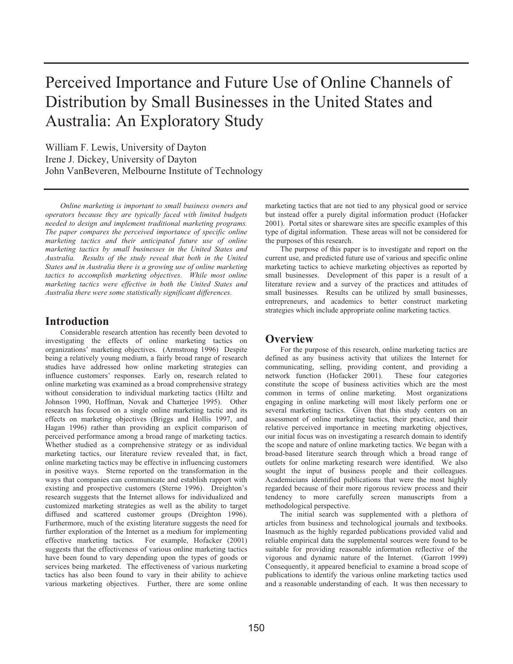# Perceived Importance and Future Use of Online Channels of Distribution by Small Businesses in the United States and Australia: An Exploratory Study

William F. Lewis, University of Dayton Irene J. Dickey, University of Dayton John VanBeveren, Melbourne Institute of Technology

*Online marketing is important to small business owners and operators because they are typically faced with limited budgets needed to design and implement traditional marketing programs. The paper compares the perceived importance of specific online marketing tactics and their anticipated future use of online marketing tactics by small businesses in the United States and Australia. Results of the study reveal that both in the United States and in Australia there is a growing use of online marketing tactics to accomplish marketing objectives. While most online marketing tactics were effective in both the United States and Australia there were some statistically significant differences.*

### **Introduction**

Considerable research attention has recently been devoted to investigating the effects of online marketing tactics on organizations' marketing objectives. (Armstrong 1996) Despite being a relatively young medium, a fairly broad range of research studies have addressed how online marketing strategies can influence customers' responses. Early on, research related to online marketing was examined as a broad comprehensive strategy without consideration to individual marketing tactics (Hiltz and Johnson 1990, Hoffman, Novak and Chatterjee 1995). Other research has focused on a single online marketing tactic and its effects on marketing objectives (Briggs and Hollis 1997, and Hagan 1996) rather than providing an explicit comparison of perceived performance among a broad range of marketing tactics. Whether studied as a comprehensive strategy or as individual marketing tactics, our literature review revealed that, in fact, online marketing tactics may be effective in influencing customers in positive ways. Sterne reported on the transformation in the ways that companies can communicate and establish rapport with existing and prospective customers (Sterne 1996). Dreighton's research suggests that the Internet allows for individualized and customized marketing strategies as well as the ability to target diffused and scattered customer groups (Dreighton 1996). Furthermore, much of the existing literature suggests the need for further exploration of the Internet as a medium for implementing effective marketing tactics. For example, Hofacker (2001) suggests that the effectiveness of various online marketing tactics have been found to vary depending upon the types of goods or services being marketed. The effectiveness of various marketing tactics has also been found to vary in their ability to achieve various marketing objectives. Further, there are some online

marketing tactics that are not tied to any physical good or service but instead offer a purely digital information product (Hofacker 2001). Portal sites or shareware sites are specific examples of this type of digital information. These areas will not be considered for the purposes of this research.

The purpose of this paper is to investigate and report on the current use, and predicted future use of various and specific online marketing tactics to achieve marketing objectives as reported by small businesses. Development of this paper is a result of a literature review and a survey of the practices and attitudes of small businesses. Results can be utilized by small businesses, entrepreneurs, and academics to better construct marketing strategies which include appropriate online marketing tactics.

# **Overview**

For the purpose of this research, online marketing tactics are defined as any business activity that utilizes the Internet for communicating, selling, providing content, and providing a network function (Hofacker 2001). These four categories constitute the scope of business activities which are the most common in terms of online marketing. Most organizations engaging in online marketing will most likely perform one or several marketing tactics. Given that this study centers on an assessment of online marketing tactics, their practice, and their relative perceived importance in meeting marketing objectives, our initial focus was on investigating a research domain to identify the scope and nature of online marketing tactics. We began with a broad-based literature search through which a broad range of outlets for online marketing research were identified. We also sought the input of business people and their colleagues. Academicians identified publications that were the most highly regarded because of their more rigorous review process and their tendency to more carefully screen manuscripts from a methodological perspective.

The initial search was supplemented with a plethora of articles from business and technological journals and textbooks. Inasmuch as the highly regarded publications provided valid and reliable empirical data the supplemental sources were found to be suitable for providing reasonable information reflective of the vigorous and dynamic nature of the Internet. (Garrott 1999) Consequently, it appeared beneficial to examine a broad scope of publications to identify the various online marketing tactics used and a reasonable understanding of each. It was then necessary to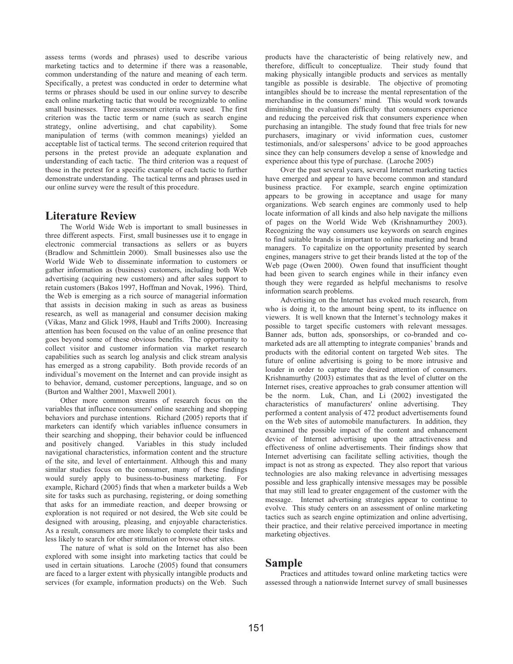assess terms (words and phrases) used to describe various marketing tactics and to determine if there was a reasonable, common understanding of the nature and meaning of each term. Specifically, a pretest was conducted in order to determine what terms or phrases should be used in our online survey to describe each online marketing tactic that would be recognizable to online small businesses. Three assessment criteria were used. The first criterion was the tactic term or name (such as search engine strategy, online advertising, and chat capability). Some manipulation of terms (with common meanings) yielded an acceptable list of tactical terms. The second criterion required that persons in the pretest provide an adequate explanation and understanding of each tactic. The third criterion was a request of those in the pretest for a specific example of each tactic to further demonstrate understanding. The tactical terms and phrases used in our online survey were the result of this procedure.

# **Literature Review**

The World Wide Web is important to small businesses in three different aspects. First, small businesses use it to engage in electronic commercial transactions as sellers or as buyers (Bradlow and Schmittlein 2000). Small businesses also use the World Wide Web to disseminate information to customers or gather information as (business) customers, including both Web advertising (acquiring new customers) and after sales support to retain customers (Bakos 1997, Hoffman and Novak, 1996). Third, the Web is emerging as a rich source of managerial information that assists in decision making in such as areas as business research, as well as managerial and consumer decision making (Vikas, Manz and Glick 1998, Haubl and Trifts 2000). Increasing attention has been focused on the value of an online presence that goes beyond some of these obvious benefits. The opportunity to collect visitor and customer information via market research capabilities such as search log analysis and click stream analysis has emerged as a strong capability. Both provide records of an individual's movement on the Internet and can provide insight as to behavior, demand, customer perceptions, language, and so on (Burton and Walther 2001, Maxwell 2001).

Other more common streams of research focus on the variables that influence consumers' online searching and shopping behaviors and purchase intentions. Richard (2005) reports that if marketers can identify which variables influence consumers in their searching and shopping, their behavior could be influenced and positively changed. Variables in this study included navigational characteristics, information content and the structure of the site, and level of entertainment. Although this and many similar studies focus on the consumer, many of these findings would surely apply to business-to-business marketing. For example, Richard (2005) finds that when a marketer builds a Web site for tasks such as purchasing, registering, or doing something that asks for an immediate reaction, and deeper browsing or exploration is not required or not desired, the Web site could be designed with arousing, pleasing, and enjoyable characteristics. As a result, consumers are more likely to complete their tasks and less likely to search for other stimulation or browse other sites.

The nature of what is sold on the Internet has also been explored with some insight into marketing tactics that could be used in certain situations. Laroche (2005) found that consumers are faced to a larger extent with physically intangible products and services (for example, information products) on the Web. Such

products have the characteristic of being relatively new, and therefore, difficult to conceptualize. Their study found that making physically intangible products and services as mentally tangible as possible is desirable. The objective of promoting intangibles should be to increase the mental representation of the merchandise in the consumers' mind. This would work towards diminishing the evaluation difficulty that consumers experience and reducing the perceived risk that consumers experience when purchasing an intangible. The study found that free trials for new purchasers, imaginary or vivid information cues, customer testimonials, and/or salespersons' advice to be good approaches since they can help consumers develop a sense of knowledge and experience about this type of purchase. (Laroche 2005)

Over the past several years, several Internet marketing tactics have emerged and appear to have become common and standard business practice. For example, search engine optimization appears to be growing in acceptance and usage for many organizations. Web search engines are commonly used to help locate information of all kinds and also help navigate the millions of pages on the World Wide Web (Krishnamurthey 2003). Recognizing the way consumers use keywords on search engines to find suitable brands is important to online marketing and brand managers. To capitalize on the opportunity presented by search engines, managers strive to get their brands listed at the top of the Web page (Owen 2000). Owen found that insufficient thought had been given to search engines while in their infancy even though they were regarded as helpful mechanisms to resolve information search problems.

Advertising on the Internet has evoked much research, from who is doing it, to the amount being spent, to its influence on viewers. It is well known that the Internet's technology makes it possible to target specific customers with relevant messages. Banner ads, button ads, sponsorships, or co-branded and comarketed ads are all attempting to integrate companies' brands and products with the editorial content on targeted Web sites. The future of online advertising is going to be more intrusive and louder in order to capture the desired attention of consumers. Krishnamurthy (2003) estimates that as the level of clutter on the Internet rises, creative approaches to grab consumer attention will be the norm. Luk, Chan, and Li (2002) investigated the characteristics of manufacturers' online advertising. They performed a content analysis of 472 product advertisements found on the Web sites of automobile manufacturers. In addition, they examined the possible impact of the content and enhancement device of Internet advertising upon the attractiveness and effectiveness of online advertisements. Their findings show that Internet advertising can facilitate selling activities, though the impact is not as strong as expected. They also report that various technologies are also making relevance in advertising messages possible and less graphically intensive messages may be possible that may still lead to greater engagement of the customer with the message. Internet advertising strategies appear to continue to evolve. This study centers on an assessment of online marketing tactics such as search engine optimization and online advertising, their practice, and their relative perceived importance in meeting marketing objectives.

### **Sample**

Practices and attitudes toward online marketing tactics were assessed through a nationwide Internet survey of small businesses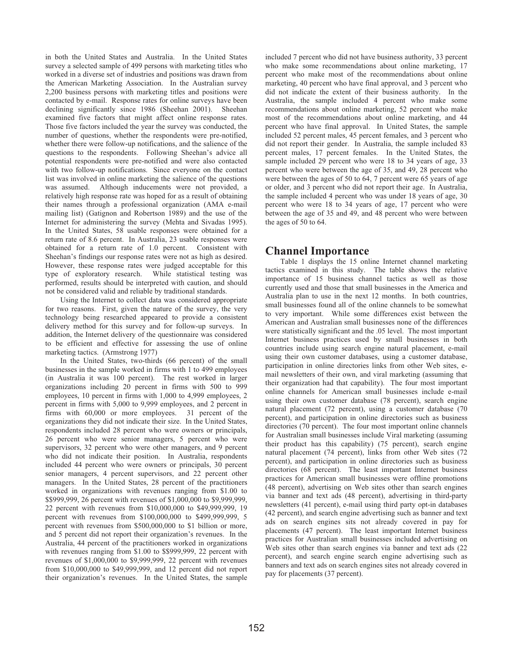in both the United States and Australia. In the United States survey a selected sample of 499 persons with marketing titles who worked in a diverse set of industries and positions was drawn from the American Marketing Association. In the Australian survey 2,200 business persons with marketing titles and positions were contacted by e-mail. Response rates for online surveys have been declining significantly since 1986 (Sheehan 2001). Sheehan examined five factors that might affect online response rates. Those five factors included the year the survey was conducted, the number of questions, whether the respondents were pre-notified, whether there were follow-up notifications, and the salience of the questions to the respondents. Following Sheehan's advice all potential respondents were pre-notified and were also contacted with two follow-up notifications. Since everyone on the contact list was involved in online marketing the salience of the questions was assumed. Although inducements were not provided, a relatively high response rate was hoped for as a result of obtaining their names through a professional organization (AMA e-mail mailing list) (Gatignon and Robertson 1989) and the use of the Internet for administering the survey (Mehta and Sivadas 1995). In the United States, 58 usable responses were obtained for a return rate of 8.6 percent. In Australia, 23 usable responses were obtained for a return rate of 1.0 percent. Consistent with Sheehan's findings our response rates were not as high as desired. However, these response rates were judged acceptable for this type of exploratory research. While statistical testing was performed, results should be interpreted with caution, and should not be considered valid and reliable by traditional standards.

Using the Internet to collect data was considered appropriate for two reasons. First, given the nature of the survey, the very technology being researched appeared to provide a consistent delivery method for this survey and for follow-up surveys. In addition, the Internet delivery of the questionnaire was considered to be efficient and effective for assessing the use of online marketing tactics. (Armstrong 1977)

In the United States, two-thirds (66 percent) of the small businesses in the sample worked in firms with 1 to 499 employees (in Australia it was 100 percent). The rest worked in larger organizations including 20 percent in firms with 500 to 999 employees, 10 percent in firms with 1,000 to 4,999 employees, 2 percent in firms with 5,000 to 9,999 employees, and 2 percent in firms with 60,000 or more employees. 31 percent of the organizations they did not indicate their size. In the United States, respondents included 28 percent who were owners or principals, 26 percent who were senior managers, 5 percent who were supervisors, 32 percent who were other managers, and 9 percent who did not indicate their position. In Australia, respondents included 44 percent who were owners or principals, 30 percent senior managers, 4 percent supervisors, and 22 percent other managers. In the United States, 28 percent of the practitioners worked in organizations with revenues ranging from \$1.00 to \$\$999,999, 26 percent with revenues of \$1,000,000 to \$9,999,999, 22 percent with revenues from \$10,000,000 to \$49,999,999, 19 percent with revenues from \$100,000,000 to \$499,999,999, 5 percent with revenues from \$500,000,000 to \$1 billion or more, and 5 percent did not report their organization's revenues. In the Australia, 44 percent of the practitioners worked in organizations with revenues ranging from \$1.00 to \$\$999,999, 22 percent with revenues of \$1,000,000 to \$9,999,999, 22 percent with revenues from \$10,000,000 to \$49,999,999, and 12 percent did not report their organization's revenues. In the United States, the sample included 7 percent who did not have business authority, 33 percent who make some recommendations about online marketing, 17 percent who make most of the recommendations about online marketing, 40 percent who have final approval, and 3 percent who did not indicate the extent of their business authority. In the Australia, the sample included 4 percent who make some recommendations about online marketing, 52 percent who make most of the recommendations about online marketing, and 44 percent who have final approval. In United States, the sample included 52 percent males, 45 percent females, and 3 percent who did not report their gender. In Australia, the sample included 83 percent males, 17 percent females. In the United States, the sample included 29 percent who were 18 to 34 years of age, 33 percent who were between the age of 35, and 49, 28 percent who were between the ages of 50 to 64, 7 percent were 65 years of age or older, and 3 percent who did not report their age. In Australia, the sample included 4 percent who was under 18 years of age, 30 percent who were 18 to 34 years of age, 17 percent who were between the age of 35 and 49, and 48 percent who were between the ages of 50 to 64.

# **Channel Importance**

Table 1 displays the 15 online Internet channel marketing tactics examined in this study. The table shows the relative importance of 15 business channel tactics as well as those currently used and those that small businesses in the America and Australia plan to use in the next 12 months. In both countries, small businesses found all of the online channels to be somewhat to very important. While some differences exist between the American and Australian small businesses none of the differences were statistically significant and the .05 level. The most important Internet business practices used by small businesses in both countries include using search engine natural placement, e-mail using their own customer databases, using a customer database, participation in online directories links from other Web sites, email newsletters of their own, and viral marketing (assuming that their organization had that capability). The four most important online channels for American small businesses include e-mail using their own customer database (78 percent), search engine natural placement (72 percent), using a customer database (70 percent), and participation in online directories such as business directories (70 percent). The four most important online channels for Australian small businesses include Viral marketing (assuming their product has this capability) (75 percent), search engine natural placement (74 percent), links from other Web sites (72 percent), and participation in online directories such as business directories (68 percent). The least important Internet business practices for American small businesses were offline promotions (48 percent), advertising on Web sites other than search engines via banner and text ads (48 percent), advertising in third-party newsletters (41 percent), e-mail using third party opt-in databases (42 percent), and search engine advertising such as banner and text ads on search engines sits not already covered in pay for placements (47 percent). The least important Internet business practices for Australian small businesses included advertising on Web sites other than search engines via banner and text ads (22 percent), and search engine search engine advertising such as banners and text ads on search engines sites not already covered in pay for placements (37 percent).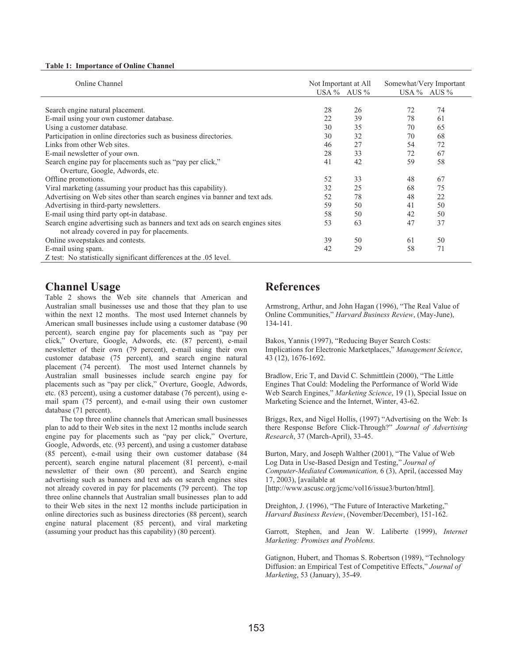#### **Table 1: Importance of Online Channel**

| Online Channel                                                                 | Not Important at All |                 | Somewhat/Very Important<br>USA $%$ AUS $%$ |    |  |
|--------------------------------------------------------------------------------|----------------------|-----------------|--------------------------------------------|----|--|
|                                                                                |                      | USA $%$ AUS $%$ |                                            |    |  |
|                                                                                |                      |                 |                                            |    |  |
| Search engine natural placement.                                               | 28                   | 26              | 72                                         | 74 |  |
| E-mail using your own customer database.                                       | 22                   | 39              | 78                                         | 61 |  |
| Using a customer database.                                                     | 30                   | 35              | 70                                         | 65 |  |
| Participation in online directories such as business directories.              | 30                   | 32              | 70                                         | 68 |  |
| Links from other Web sites.                                                    | 46                   | 27              | 54                                         | 72 |  |
| E-mail newsletter of your own.                                                 | 28                   | 33              | 72                                         | 67 |  |
| Search engine pay for placements such as "pay per click,"                      | 41                   | 42              | 59                                         | 58 |  |
| Overture, Google, Adwords, etc.                                                |                      |                 |                                            |    |  |
| Offline promotions.                                                            | 52                   | 33              | 48                                         | 67 |  |
| Viral marketing (assuming your product has this capability).                   | 32                   | 25              | 68                                         | 75 |  |
| Advertising on Web sites other than search engines via banner and text ads.    | 52                   | 78              | 48                                         | 22 |  |
| Advertising in third-party newsletters.                                        | 59                   | 50              | 41                                         | 50 |  |
| E-mail using third party opt-in database.                                      | 58                   | 50              | 42                                         | 50 |  |
| Search engine advertising such as banners and text ads on search engines sites | 53                   | 63              | 47                                         | 37 |  |
| not already covered in pay for placements.                                     |                      |                 |                                            |    |  |
| Online sweepstakes and contests.                                               | 39                   | 50              | 61                                         | 50 |  |
| E-mail using spam.                                                             | 42                   | 29              | 58                                         | 71 |  |
| Z test: No statistically significant differences at the .05 level.             |                      |                 |                                            |    |  |

## **Channel Usage**

Table 2 shows the Web site channels that American and Australian small businesses use and those that they plan to use within the next 12 months. The most used Internet channels by American small businesses include using a customer database (90 percent), search engine pay for placements such as "pay per click," Overture, Google, Adwords, etc. (87 percent), e-mail newsletter of their own (79 percent), e-mail using their own customer database (75 percent), and search engine natural placement (74 percent). The most used Internet channels by Australian small businesses include search engine pay for placements such as "pay per click," Overture, Google, Adwords, etc. (83 percent), using a customer database (76 percent), using email spam (75 percent), and e-mail using their own customer database (71 percent).

The top three online channels that American small businesses plan to add to their Web sites in the next 12 months include search engine pay for placements such as "pay per click," Overture, Google, Adwords, etc. (93 percent), and using a customer database (85 percent), e-mail using their own customer database (84 percent), search engine natural placement (81 percent), e-mail newsletter of their own (80 percent), and Search engine advertising such as banners and text ads on search engines sites not already covered in pay for placements (79 percent). The top three online channels that Australian small businesses plan to add to their Web sites in the next 12 months include participation in online directories such as business directories (88 percent), search engine natural placement (85 percent), and viral marketing (assuming your product has this capability) (80 percent).

# **References**

Armstrong, Arthur, and John Hagan (1996), "The Real Value of Online Communities," *Harvard Business Review*, (May-June), 134-141.

Bakos, Yannis (1997), "Reducing Buyer Search Costs: Implications for Electronic Marketplaces," *Management Science*, 43 (12), 1676-1692.

Bradlow, Eric T, and David C. Schmittlein (2000), "The Little Engines That Could: Modeling the Performance of World Wide Web Search Engines," *Marketing Science*, 19 (1), Special Issue on Marketing Science and the Internet, Winter, 43-62.

Briggs, Rex, and Nigel Hollis, (1997) "Advertising on the Web: Is there Response Before Click-Through?" *Journal of Advertising Research*, 37 (March-April), 33-45.

Burton, Mary, and Joseph Walther (2001), "The Value of Web Log Data in Use-Based Design and Testing," *Journal of Computer-Mediated Communication,* 6 (3), April, (accessed May 17, 2003), [available at [http://www.ascusc.org/jcmc/vol16/issue3/burton/html].

Dreighton, J. (1996), "The Future of Interactive Marketing," *Harvard Business Review*, (November/December), 151-162.

Garrott, Stephen, and Jean W. Laliberte (1999), *Internet Marketing: Promises and Problems*.

Gatignon, Hubert, and Thomas S. Robertson (1989), "Technology Diffusion: an Empirical Test of Competitive Effects," *Journal of Marketing*, 53 (January), 35-49.